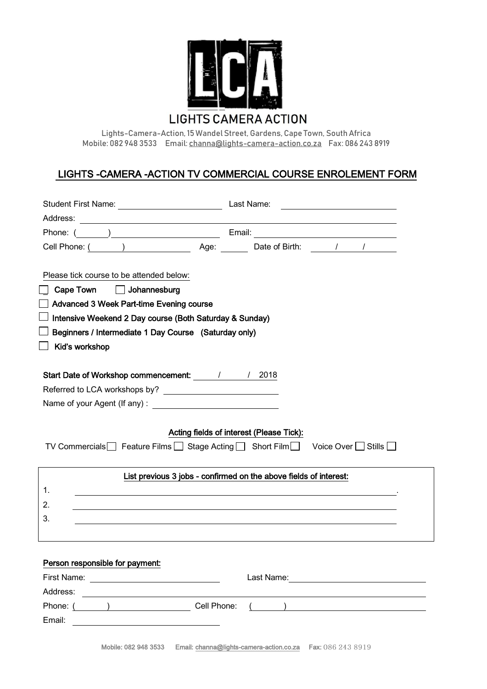

**LIGHTS CAMERA ACTION** 

**Lights-Camera-Action, 15 WandelStreet, Gardens, Cape Town, South Africa Mobile: 082 948 3533 Email[: channa@lights-camera-action.co.za](mailto:channa@lights-camera-action.co.za) Fax: 086 243 8919**

# LIGHTS -CAMERA -ACTION TV COMMERCIAL COURSE ENROLEMENT FORM

|                                                                                                                                                                                                                                                                                                          | <u> 1980 - Andrea Andrew Maria (h. 1980).</u>                                                                                                                                                                                        |
|----------------------------------------------------------------------------------------------------------------------------------------------------------------------------------------------------------------------------------------------------------------------------------------------------------|--------------------------------------------------------------------------------------------------------------------------------------------------------------------------------------------------------------------------------------|
| Address:                                                                                                                                                                                                                                                                                                 | <u>state and the state of the state of the state of the state of the state of the state of the state of the state of the state of the state of the state of the state of the state of the state of the state of the state of the</u> |
|                                                                                                                                                                                                                                                                                                          |                                                                                                                                                                                                                                      |
|                                                                                                                                                                                                                                                                                                          | Cell Phone: ( ) Age: Date of Birth: / / / Letching and Age: Date of Birth: / / / / Letching and Age: Date of Birth: / / / / Letching and Age: 0.1 Age: 0.1 Age: 0.1 Age: 0.1 Age: 0.1 Age: 0.1 Age: 0.1 Age: 0.1 Age: 0.1 Age:       |
| Please tick course to be attended below:<br>Cape Town<br>Johannesburg<br>Advanced 3 Week Part-time Evening course<br>Intensive Weekend 2 Day course (Both Saturday & Sunday)<br>Beginners / Intermediate 1 Day Course (Saturday only)<br>Kid's workshop<br>Start Date of Workshop commencement: 1 1 2018 |                                                                                                                                                                                                                                      |
|                                                                                                                                                                                                                                                                                                          |                                                                                                                                                                                                                                      |
|                                                                                                                                                                                                                                                                                                          |                                                                                                                                                                                                                                      |
| Acting fields of interest (Please Tick):<br>TV Commercials Feature Films Stage Acting Short Film Voice Over Stills                                                                                                                                                                                       |                                                                                                                                                                                                                                      |
| List previous 3 jobs - confirmed on the above fields of interest:                                                                                                                                                                                                                                        |                                                                                                                                                                                                                                      |
| 1.                                                                                                                                                                                                                                                                                                       |                                                                                                                                                                                                                                      |
| 2.                                                                                                                                                                                                                                                                                                       |                                                                                                                                                                                                                                      |
| 3.                                                                                                                                                                                                                                                                                                       |                                                                                                                                                                                                                                      |
|                                                                                                                                                                                                                                                                                                          |                                                                                                                                                                                                                                      |
|                                                                                                                                                                                                                                                                                                          |                                                                                                                                                                                                                                      |
| Person responsible for payment:                                                                                                                                                                                                                                                                          |                                                                                                                                                                                                                                      |
|                                                                                                                                                                                                                                                                                                          | Last Name:<br><u> 1989 - Andrea State Barbara, amerikan per</u>                                                                                                                                                                      |
| Address:                                                                                                                                                                                                                                                                                                 |                                                                                                                                                                                                                                      |
| Phone: (<br>Cell Phone:<br>$\overline{a}$                                                                                                                                                                                                                                                                |                                                                                                                                                                                                                                      |
| Email:                                                                                                                                                                                                                                                                                                   |                                                                                                                                                                                                                                      |